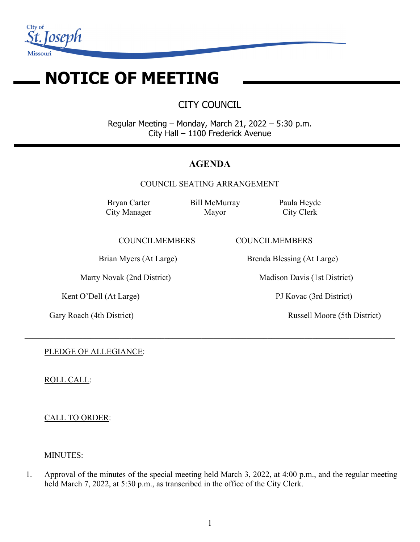

# **NOTICE OF MEETING**

CITY COUNCIL

Regular Meeting – Monday, March 21, 2022 – 5:30 p.m. City Hall – 1100 Frederick Avenue

## **AGENDA**

COUNCIL SEATING ARRANGEMENT

 $\_$  , and the set of the set of the set of the set of the set of the set of the set of the set of the set of the set of the set of the set of the set of the set of the set of the set of the set of the set of the set of th

Bryan Carter City Manager Bill McMurray Mayor

Paula Heyde City Clerk

COUNCILMEMBERS COUNCILMEMBERS

Kent O'Dell (At Large) PJ Kovac (3rd District)

Brian Myers (At Large) Brenda Blessing (At Large)

Marty Novak (2nd District) Madison Davis (1st District)

Gary Roach (4th District) Russell Moore (5th District)

PLEDGE OF ALLEGIANCE:

ROLL CALL:

CALL TO ORDER:

## MINUTES:

1. Approval of the minutes of the special meeting held March 3, 2022, at 4:00 p.m., and the regular meeting held March 7, 2022, at 5:30 p.m., as transcribed in the office of the City Clerk.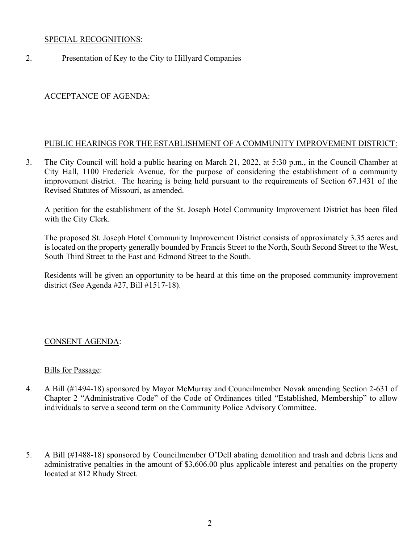#### SPECIAL RECOGNITIONS:

2. Presentation of Key to the City to Hillyard Companies

## ACCEPTANCE OF AGENDA:

## PUBLIC HEARINGS FOR THE ESTABLISHMENT OF A COMMUNITY IMPROVEMENT DISTRICT:

3. The City Council will hold a public hearing on March 21, 2022, at 5:30 p.m., in the Council Chamber at City Hall, 1100 Frederick Avenue, for the purpose of considering the establishment of a community improvement district. The hearing is being held pursuant to the requirements of Section 67.1431 of the Revised Statutes of Missouri, as amended.

A petition for the establishment of the St. Joseph Hotel Community Improvement District has been filed with the City Clerk.

The proposed St. Joseph Hotel Community Improvement District consists of approximately 3.35 acres and is located on the property generally bounded by Francis Street to the North, South Second Street to the West, South Third Street to the East and Edmond Street to the South.

Residents will be given an opportunity to be heard at this time on the proposed community improvement district (See Agenda #27, Bill #1517-18).

#### CONSENT AGENDA:

#### Bills for Passage:

- 4. A Bill (#1494-18) sponsored by Mayor McMurray and Councilmember Novak amending Section 2-631 of Chapter 2 "Administrative Code" of the Code of Ordinances titled "Established, Membership" to allow individuals to serve a second term on the Community Police Advisory Committee.
- 5. A Bill (#1488-18) sponsored by Councilmember O'Dell abating demolition and trash and debris liens and administrative penalties in the amount of \$3,606.00 plus applicable interest and penalties on the property located at 812 Rhudy Street.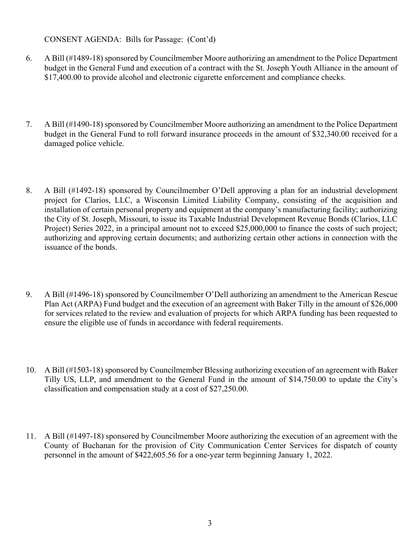#### CONSENT AGENDA: Bills for Passage: (Cont'd)

- 6. A Bill (#1489-18) sponsored by Councilmember Moore authorizing an amendment to the Police Department budget in the General Fund and execution of a contract with the St. Joseph Youth Alliance in the amount of \$17,400.00 to provide alcohol and electronic cigarette enforcement and compliance checks.
- 7. A Bill (#1490-18) sponsored by Councilmember Moore authorizing an amendment to the Police Department budget in the General Fund to roll forward insurance proceeds in the amount of \$32,340.00 received for a damaged police vehicle.
- 8. A Bill (#1492-18) sponsored by Councilmember O'Dell approving a plan for an industrial development project for Clarios, LLC, a Wisconsin Limited Liability Company, consisting of the acquisition and installation of certain personal property and equipment at the company's manufacturing facility; authorizing the City of St. Joseph, Missouri, to issue its Taxable Industrial Development Revenue Bonds (Clarios, LLC Project) Series 2022, in a principal amount not to exceed \$25,000,000 to finance the costs of such project; authorizing and approving certain documents; and authorizing certain other actions in connection with the issuance of the bonds.
- 9. A Bill (#1496-18) sponsored by Councilmember O'Dell authorizing an amendment to the American Rescue Plan Act (ARPA) Fund budget and the execution of an agreement with Baker Tilly in the amount of \$26,000 for services related to the review and evaluation of projects for which ARPA funding has been requested to ensure the eligible use of funds in accordance with federal requirements.
- 10. A Bill (#1503-18) sponsored by Councilmember Blessing authorizing execution of an agreement with Baker Tilly US, LLP, and amendment to the General Fund in the amount of \$14,750.00 to update the City's classification and compensation study at a cost of \$27,250.00.
- 11. A Bill (#1497-18) sponsored by Councilmember Moore authorizing the execution of an agreement with the County of Buchanan for the provision of City Communication Center Services for dispatch of county personnel in the amount of \$422,605.56 for a one-year term beginning January 1, 2022.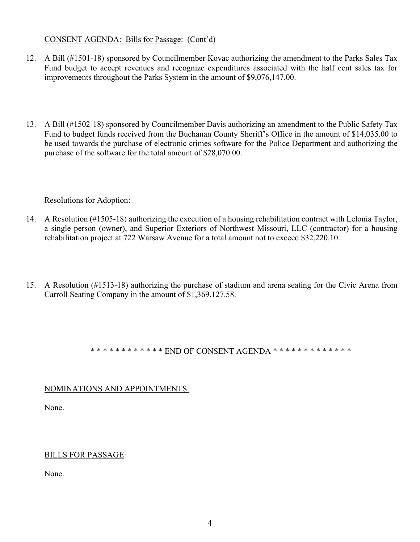## CONSENT AGENDA: Bills for Passage: (Cont'd)

- 12. A Bill (#1501-18) sponsored by Councilmember Kovac authorizing the amendment to the Parks Sales Tax Fund budget to accept revenues and recognize expenditures associated with the half cent sales tax for improvements throughout the Parks System in the amount of \$9,076,147.00.
- 13. A Bill (#1502-18) sponsored by Councilmember Davis authorizing an amendment to the Public Safety Tax Fund to budget funds received from the Buchanan County Sheriff's Office in the amount of \$14,035.00 to be used towards the purchase of electronic crimes software for the Police Department and authorizing the purchase of the software for the total amount of \$28,070.00.

#### Resolutions for Adoption:

- 14. A Resolution (#1505-18) authorizing the execution of a housing rehabilitation contract with Lelonia Taylor, a single person (owner), and Superior Exteriors of Northwest Missouri, LLC (contractor) for a housing rehabilitation project at 722 Warsaw Avenue for a total amount not to exceed \$32,220.10.
- 15. A Resolution (#1513-18) authorizing the purchase of stadium and arena seating for the Civic Arena from Carroll Seating Company in the amount of \$1,369,127.58.

#### \* \* \* \* \* \* \* \* \* \* \* \* END OF CONSENT AGENDA \* \* \* \* \* \* \* \* \* \* \* \* \* \* \*

#### NOMINATIONS AND APPOINTMENTS:

None.

#### BILLS FOR PASSAGE:

None.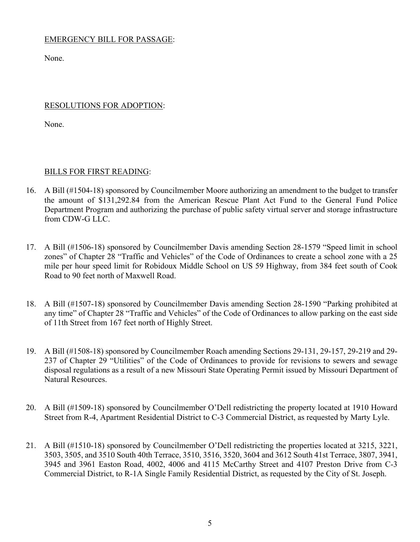## EMERGENCY BILL FOR PASSAGE:

None.

## RESOLUTIONS FOR ADOPTION:

None.

## BILLS FOR FIRST READING:

- 16. A Bill (#1504-18) sponsored by Councilmember Moore authorizing an amendment to the budget to transfer the amount of \$131,292.84 from the American Rescue Plant Act Fund to the General Fund Police Department Program and authorizing the purchase of public safety virtual server and storage infrastructure from CDW-G LLC.
- 17. A Bill (#1506-18) sponsored by Councilmember Davis amending Section 28-1579 "Speed limit in school zones" of Chapter 28 "Traffic and Vehicles" of the Code of Ordinances to create a school zone with a 25 mile per hour speed limit for Robidoux Middle School on US 59 Highway, from 384 feet south of Cook Road to 90 feet north of Maxwell Road.
- 18. A Bill (#1507-18) sponsored by Councilmember Davis amending Section 28-1590 "Parking prohibited at any time" of Chapter 28 "Traffic and Vehicles" of the Code of Ordinances to allow parking on the east side of 11th Street from 167 feet north of Highly Street.
- 19. A Bill (#1508-18) sponsored by Councilmember Roach amending Sections 29-131, 29-157, 29-219 and 29- 237 of Chapter 29 "Utilities" of the Code of Ordinances to provide for revisions to sewers and sewage disposal regulations as a result of a new Missouri State Operating Permit issued by Missouri Department of Natural Resources.
- 20. A Bill (#1509-18) sponsored by Councilmember O'Dell redistricting the property located at 1910 Howard Street from R-4, Apartment Residential District to C-3 Commercial District, as requested by Marty Lyle.
- 21. A Bill (#1510-18) sponsored by Councilmember O'Dell redistricting the properties located at 3215, 3221, 3503, 3505, and 3510 South 40th Terrace, 3510, 3516, 3520, 3604 and 3612 South 41st Terrace, 3807, 3941, 3945 and 3961 Easton Road, 4002, 4006 and 4115 McCarthy Street and 4107 Preston Drive from C-3 Commercial District, to R-1A Single Family Residential District, as requested by the City of St. Joseph.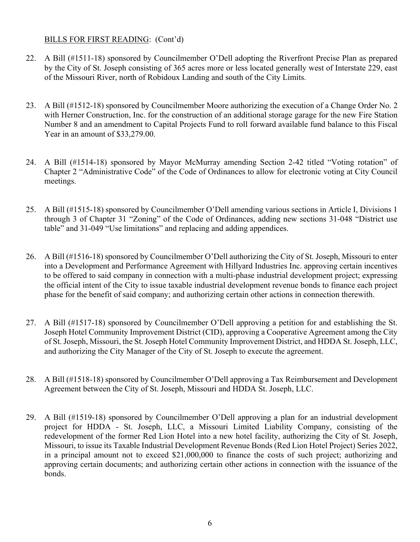## BILLS FOR FIRST READING: (Cont'd)

- 22. A Bill (#1511-18) sponsored by Councilmember O'Dell adopting the Riverfront Precise Plan as prepared by the City of St. Joseph consisting of 365 acres more or less located generally west of Interstate 229, east of the Missouri River, north of Robidoux Landing and south of the City Limits.
- 23. A Bill (#1512-18) sponsored by Councilmember Moore authorizing the execution of a Change Order No. 2 with Herner Construction, Inc. for the construction of an additional storage garage for the new Fire Station Number 8 and an amendment to Capital Projects Fund to roll forward available fund balance to this Fiscal Year in an amount of \$33,279.00.
- 24. A Bill (#1514-18) sponsored by Mayor McMurray amending Section 2-42 titled "Voting rotation" of Chapter 2 "Administrative Code" of the Code of Ordinances to allow for electronic voting at City Council meetings.
- 25. A Bill (#1515-18) sponsored by Councilmember O'Dell amending various sections in Article I, Divisions 1 through 3 of Chapter 31 "Zoning" of the Code of Ordinances, adding new sections 31-048 "District use table" and 31-049 "Use limitations" and replacing and adding appendices.
- 26. A Bill (#1516-18) sponsored by Councilmember O'Dell authorizing the City of St. Joseph, Missouri to enter into a Development and Performance Agreement with Hillyard Industries Inc. approving certain incentives to be offered to said company in connection with a multi-phase industrial development project; expressing the official intent of the City to issue taxable industrial development revenue bonds to finance each project phase for the benefit of said company; and authorizing certain other actions in connection therewith.
- 27. A Bill (#1517-18) sponsored by Councilmember O'Dell approving a petition for and establishing the St. Joseph Hotel Community Improvement District (CID), approving a Cooperative Agreement among the City of St. Joseph, Missouri, the St. Joseph Hotel Community Improvement District, and HDDA St. Joseph, LLC, and authorizing the City Manager of the City of St. Joseph to execute the agreement.
- 28. A Bill (#1518-18) sponsored by Councilmember O'Dell approving a Tax Reimbursement and Development Agreement between the City of St. Joseph, Missouri and HDDA St. Joseph, LLC.
- 29. A Bill (#1519-18) sponsored by Councilmember O'Dell approving a plan for an industrial development project for HDDA - St. Joseph, LLC, a Missouri Limited Liability Company, consisting of the redevelopment of the former Red Lion Hotel into a new hotel facility, authorizing the City of St. Joseph, Missouri, to issue its Taxable Industrial Development Revenue Bonds (Red Lion Hotel Project) Series 2022, in a principal amount not to exceed \$21,000,000 to finance the costs of such project; authorizing and approving certain documents; and authorizing certain other actions in connection with the issuance of the bonds.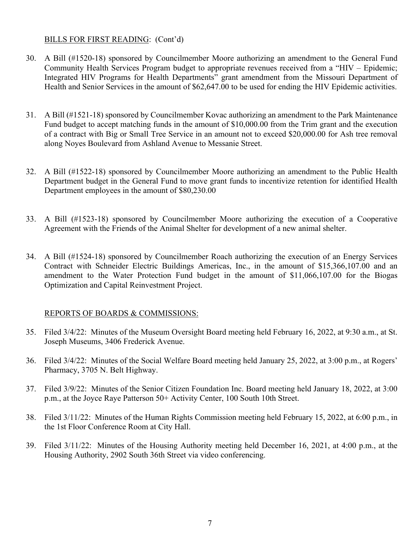#### BILLS FOR FIRST READING: (Cont'd)

- 30. A Bill (#1520-18) sponsored by Councilmember Moore authorizing an amendment to the General Fund Community Health Services Program budget to appropriate revenues received from a "HIV – Epidemic; Integrated HIV Programs for Health Departments" grant amendment from the Missouri Department of Health and Senior Services in the amount of \$62,647.00 to be used for ending the HIV Epidemic activities.
- 31. A Bill (#1521-18) sponsored by Councilmember Kovac authorizing an amendment to the Park Maintenance Fund budget to accept matching funds in the amount of \$10,000.00 from the Trim grant and the execution of a contract with Big or Small Tree Service in an amount not to exceed \$20,000.00 for Ash tree removal along Noyes Boulevard from Ashland Avenue to Messanie Street.
- 32. A Bill (#1522-18) sponsored by Councilmember Moore authorizing an amendment to the Public Health Department budget in the General Fund to move grant funds to incentivize retention for identified Health Department employees in the amount of \$80,230.00
- 33. A Bill (#1523-18) sponsored by Councilmember Moore authorizing the execution of a Cooperative Agreement with the Friends of the Animal Shelter for development of a new animal shelter.
- 34. A Bill (#1524-18) sponsored by Councilmember Roach authorizing the execution of an Energy Services Contract with Schneider Electric Buildings Americas, Inc., in the amount of \$15,366,107.00 and an amendment to the Water Protection Fund budget in the amount of \$11,066,107.00 for the Biogas Optimization and Capital Reinvestment Project.

#### REPORTS OF BOARDS & COMMISSIONS:

- 35. Filed 3/4/22: Minutes of the Museum Oversight Board meeting held February 16, 2022, at 9:30 a.m., at St. Joseph Museums, 3406 Frederick Avenue.
- 36. Filed 3/4/22: Minutes of the Social Welfare Board meeting held January 25, 2022, at 3:00 p.m., at Rogers' Pharmacy, 3705 N. Belt Highway.
- 37. Filed 3/9/22: Minutes of the Senior Citizen Foundation Inc. Board meeting held January 18, 2022, at 3:00 p.m., at the Joyce Raye Patterson 50+ Activity Center, 100 South 10th Street.
- 38. Filed 3/11/22: Minutes of the Human Rights Commission meeting held February 15, 2022, at 6:00 p.m., in the 1st Floor Conference Room at City Hall.
- 39. Filed 3/11/22: Minutes of the Housing Authority meeting held December 16, 2021, at 4:00 p.m., at the Housing Authority, 2902 South 36th Street via video conferencing.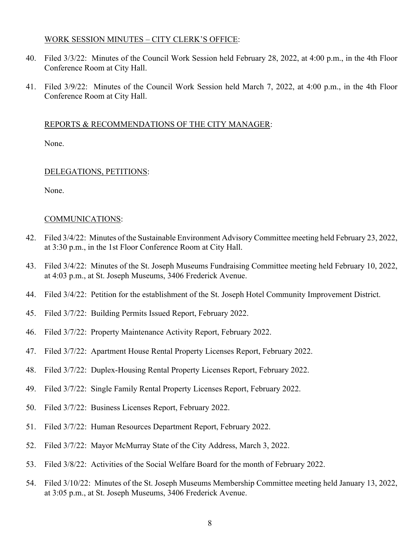#### WORK SESSION MINUTES – CITY CLERK'S OFFICE:

- 40. Filed 3/3/22: Minutes of the Council Work Session held February 28, 2022, at 4:00 p.m., in the 4th Floor Conference Room at City Hall.
- 41. Filed 3/9/22: Minutes of the Council Work Session held March 7, 2022, at 4:00 p.m., in the 4th Floor Conference Room at City Hall.

#### REPORTS & RECOMMENDATIONS OF THE CITY MANAGER:

None.

#### DELEGATIONS, PETITIONS:

None.

#### COMMUNICATIONS:

- 42. Filed 3/4/22: Minutes of the Sustainable Environment Advisory Committee meeting held February 23, 2022, at 3:30 p.m., in the 1st Floor Conference Room at City Hall.
- 43. Filed 3/4/22: Minutes of the St. Joseph Museums Fundraising Committee meeting held February 10, 2022, at 4:03 p.m., at St. Joseph Museums, 3406 Frederick Avenue.
- 44. Filed 3/4/22: Petition for the establishment of the St. Joseph Hotel Community Improvement District.
- 45. Filed 3/7/22: Building Permits Issued Report, February 2022.
- 46. Filed 3/7/22: Property Maintenance Activity Report, February 2022.
- 47. Filed 3/7/22: Apartment House Rental Property Licenses Report, February 2022.
- 48. Filed 3/7/22: Duplex-Housing Rental Property Licenses Report, February 2022.
- 49. Filed 3/7/22: Single Family Rental Property Licenses Report, February 2022.
- 50. Filed 3/7/22: Business Licenses Report, February 2022.
- 51. Filed 3/7/22: Human Resources Department Report, February 2022.
- 52. Filed 3/7/22: Mayor McMurray State of the City Address, March 3, 2022.
- 53. Filed 3/8/22: Activities of the Social Welfare Board for the month of February 2022.
- 54. Filed 3/10/22: Minutes of the St. Joseph Museums Membership Committee meeting held January 13, 2022, at 3:05 p.m., at St. Joseph Museums, 3406 Frederick Avenue.